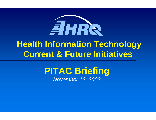

# **PITAC Briefing** *November 12, 2003*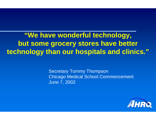**"We have wonderful technology, but some grocery stores have better technology than our hospitals and clinics."**

> Secretary Tommy Thompson Chicago Medical School Commencement June 7, 2002

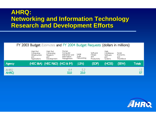### **AHRQ: Networking and Information Technology Research and Development Efforts Research and Development Efforts**

#### FY 2003 Budget Estimates and FY 2004 Budget Requests (dollars in millions)

|                     | High End.<br>Computing :<br>Infrastructure<br>and.<br>Applications. | High End.<br>Computing :<br>Research,<br>and.<br>Development | Human.<br>Computer:<br>Interaction and<br>Information<br>Management. | Large<br>Scale<br>Networking | Software<br>Design<br>and .<br>Productivity | High.<br>Confidence<br>Software.<br>and<br>Systems. | Social,<br>Economic,<br>and.<br>Worldorce |               |
|---------------------|---------------------------------------------------------------------|--------------------------------------------------------------|----------------------------------------------------------------------|------------------------------|---------------------------------------------|-----------------------------------------------------|-------------------------------------------|---------------|
| Agency              |                                                                     | (HEC 1&A) (HEC R&D) (HCI & IM)                               |                                                                      | (LSN)                        | (SDP)                                       | (HCSS)                                              | (SEW)                                     | <b>Totals</b> |
| AHRQ<br><b>AHRQ</b> |                                                                     |                                                              | 6.4<br>32.0                                                          | 5.2<br>25.0                  |                                             |                                                     |                                           | 12.<br>57     |

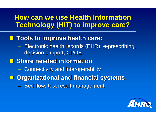### **How can we use Health Information Technology (HIT) to improve care?**

### **Tools to improve health care: Tools to improve health care:**

- $\mathcal{L}_{\mathcal{A}}$  , and the set of the set of the set of the set of the set of the set of the set of the set of the set of the set of the set of the set of the set of the set of the set of the set of the set of the set of th - Electronic health records (EHR), e-prescribing, decision support, CPOE
- $\blacksquare$  **Share needed information** 
	- $\mathcal{L}_{\mathcal{A}}$  , and the set of the set of the set of the set of the set of the set of the set of the set of the set of the set of the set of the set of the set of the set of the set of the set of the set of the set of th **- Connectivity and interoperability**
- $\blacksquare$  **Organizational and financial systems** 
	- $\mathcal{L}_{\mathcal{A}}$  , and the set of the set of the set of the set of the set of the set of the set of the set of the set of the set of the set of the set of the set of the set of the set of the set of the set of the set of th – Bed flow, test result management

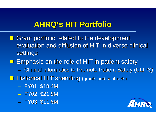# **AHRQ's HIT Portfolio AHRQ's HIT Portfolio**

- $\blacksquare$  Grant portfolio related to the development, evaluation and diffusion of HIT in diverse clinical settings
- **Example Emphasis on the role of HIT in patient safety** 
	- $\mathcal{L}_{\mathcal{A}}$  , and the set of the set of the set of the set of the set of the set of the set of the set of the set of the set of the set of the set of the set of the set of the set of the set of the set of the set of th **- Clinical Informatics to Promote Patient Safety (CLIPS)**
- **Historical HIT spending (grants and contracts):** 
	- $\mathcal{L}_{\mathcal{A}}$  , and the set of the set of the set of the set of the set of the set of the set of the set of the set of the set of the set of the set of the set of the set of the set of the set of the set of the set of th - FY01: \$18.4M
	- $\mathcal{L}_{\mathcal{A}}$  , and the set of the set of the set of the set of the set of the set of the set of the set of the set of the set of the set of the set of the set of the set of the set of the set of the set of the set of th - FY02: \$21.8M
	- $\mathcal{L}_{\mathcal{A}}$  , and the set of the set of the set of the set of the set of the set of the set of the set of the set of the set of the set of the set of the set of the set of the set of the set of the set of the set of th - FY03: \$11.6M

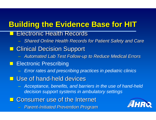# **Building the Evidence Base for HIT Building the Evidence Base for HIT**

- $\overline{\phantom{0}}$ **Electronic Health Records** 
	- *Shared Online Health Records Shared Online Health Records for Patient Safety and Care for Patient Safety and Care*
- **E** Clinical Decision Support
	- *Automated Lab Test Follow Automated Lab Test Follow-up to Reduce Medical Errors up to Reduce Medical Errors*
- $\Box$  Electronic Prescribing
	- $\mathcal{L}_{\mathcal{A}}$  , the state of the state of the state  $\mathcal{L}_{\mathcal{A}}$ *Error rates and prescribing practices in pediatric clinics*
- $\blacksquare$  **Use of hand-held devices** 
	- $\mathcal{L}_{\mathcal{A}}$  , the state of the state of the state  $\mathcal{L}_{\mathcal{A}}$  *Acceptance, benefits, and barriers in the use of hand-held decision support systems in ambulatory settings*
- Consumer use of the Internet
	- *Parent -Initiated Prevention Program Initiated Prevention Program*

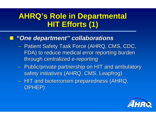# **AHRQ's Role in Departmental AHRQ's Role in Departmental HIT Efforts (1) HIT Efforts (1)**

### *"One department" "One department" collaborations collaborations*

- $\mathcal{L}_{\mathcal{A}}$  , and the set of the set of the set of the set of the set of the set of the set of the set of the set of the set of the set of the set of the set of the set of the set of the set of the set of the set of th - Patient Safety Task Force (AHRQ, CMS, CDC, FDA) to reduce medical error reporting burden FDA) to reduce medical error reporting burden through centralized e-reporting
- $\mathcal{L}_{\mathcal{A}}$  , and the set of the set of the set of the set of the set of the set of the set of the set of the set of the set of the set of the set of the set of the set of the set of the set of the set of the set of th  $-$  Public/private partnership on HIT and ambulatory safety initiatives (AHRQ, CMS, Leapfrog)
- $\,$  HIT and bioterrorism preparedness (AHRQ,  $\,$ OPHEP)

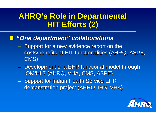# **AHRQ's Role in Departmental AHRQ's Role in Departmental HIT Efforts (2) HIT Efforts (2)**

### *"One department" "One department" collaborations collaborations*

- $\mathcal{L}_{\mathcal{A}}$  , and the set of the set of the set of the set of the set of the set of the set of the set of the set of the set of the set of the set of the set of the set of the set of the set of the set of the set of th - Support for a new evidence report on the costs/benefits of HIT functionalities (AHRQ, ASPE, CMS)
- $\mathcal{L}_{\mathcal{A}}$  , and the set of the set of the set of the set of the set of the set of the set of the set of the set of the set of the set of the set of the set of the set of the set of the set of the set of the set of th - Development of a EHR functional model through IOM/HL7 (AHRQ, VHA, CMS, ASPE)
- $\mathcal{L}_{\mathcal{A}}$  , and the set of the set of the set of the set of the set of the set of the set of the set of the set of the set of the set of the set of the set of the set of the set of the set of the set of the set of th – Support for Indian Health Service EHR demonstration project (AHRQ, IHS, VHA)

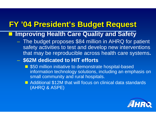## **FY '04 President's Budget Request FY '04 President's Budget Request**

#### **Improving Health Care Quality and Safety**

- The budget proposes \$84 million in AHRQ for patient safety activities to test and develop new interventions that may be reproducible across health care systems**.**
- $\mathcal{L}_{\mathcal{A}}$  , and the set of the set of the set of the set of the set of the set of the set of the set of the set of the set of the set of the set of the set of the set of the set of the set of the set of the set of th **\$62M dedicated to HIT efforts**
	- **550 million initiative to demonstrate hospital-based** information technology solutions, including an emphasis on small community and rural hospitals.
	- **Additional \$12M that will focus on clinical data standards** (AHRQ & ASPE)

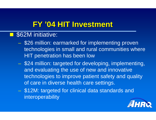## **FY '04 HIT Investment FY '04 HIT Investment**

#### П **\$62M** initiative:

- $\mathcal{L}_{\mathcal{A}}$  , and the set of the set of the set of the set of the set of the set of the set of the set of the set of the set of the set of the set of the set of the set of the set of the set of the set of the set of th - \$26 million: earmarked for implementing proven technologies in small and rural communities where HIT penetration has been low
- \$24 million: targeted for developing, implementing, and evaluating the use of new and innovative technologies to improve patient safety and quality of care in diverse health care settings.
- $\mathcal{L}_{\mathcal{A}}$  , and the set of the set of the set of the set of the set of the set of the set of the set of the set of the set of the set of the set of the set of the set of the set of the set of the set of the set of th \$12M: targeted for clinical data standards and interoperability

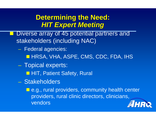### **Determining the Need: Determining the Need:** *HIT Expert Meeting HIT Expert Meeting*

- Diverse array of 45 potential partners and stakeholders (including NAC)
	- Federal agencies: **HRSA, VHA, ASPE, CMS, CDC, FDA, IHS**
	- $\mathcal{L}_{\mathcal{A}}$  , and the set of the set of the set of the set of the set of the set of the set of the set of the set of the set of the set of the set of the set of the set of the set of the set of the set of the set of th – Topical experts:
		- **HIT, Patient Safety, Rural**
	- Stakeholders

**E** e.g., rural providers, community health center providers, rural clinic directors, clinicians, vendorsEIHRN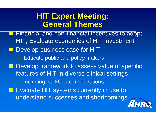## **HIT Expert Meeting: HIT Expert Meeting: General Themes General Themes**

H Financial and non-financial incentives to adopt HIT; Evaluate economics of HIT investment **Develop business case for HIT** – Educate public and policy makers **Develop framework to assess value of specific** features of HIT in diverse clinical settings  $\mathcal{L}_{\mathcal{A}}$  , and the set of the set of the set of the set of the set of the set of the set of the set of the set of the set of the set of the set of the set of the set of the set of the set of the set of the set of th - including workflow considerations **EValuate HIT systems currently in use to** understand successes and shortcomings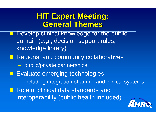# **HIT Expert Meeting: General Themes General Themes**

 $\blacksquare$ Develop clinical knowledge for the public domain (e.g., decision support rules, knowledge library) **Regional and community collaboratives**  public/private partnerships **Exaluate emerging technologies**  $\mathcal{L}_{\mathcal{A}}$  , and the set of the set of the set of the set of the set of the set of the set of the set of the set of the set of the set of the set of the set of the set of the set of the set of the set of the set of th including integration of admin and clinical systems Role of clinical data standards and interoperability (public health included)

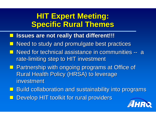# **HIT Expert Meeting: Specific Rural Themes Specific Rural Themes**

- **Issues are not really that different!!! Issues are not really that different!!!**
- Need to study and promulgate best practices
- Need for technical assistance in communities -- a rate -limiting step to HIT investment limiting step to HIT investment
- **Partnership with ongoing programs at Office of** Rural Health Policy (HRSA) to leverage investment
- **Build collaboration and sustainability into programs** Develop HIT toolkit for rural providers

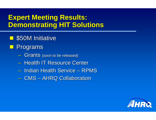### **Expert Meeting Results: Demonstrating HIT Solutions Demonstrating HIT Solutions**

- **\$50M Initiative**
- **Programs** 
	- $\mathcal{L}_{\mathcal{A}}$  , and the set of the set of the set of the set of the set of the set of the set of the set of the set of the set of the set of the set of the set of the set of the set of the set of the set of the set of th **Grants** (soon to be released)
	- Health IT Resource Center
	- Indian Health Service  $\cdot$ – RPMS
	- CMS –**- AHRQ Collaboration**

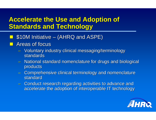### **Accelerate the Use and Adoption of Standards and Technology**

- a<br>Ma **510M Initiative**  $\mathcal{L}_{\mathcal{A}}$ — (AHRQ and ASPE)
- a<br>Ma Areas of focus
	- Voluntary industry clinical messaging/terminology standards
	- National standard nomenclature for drugs and biological products
	- Comprehensive clinical terminology and nomenclature standard
	- Conduct research regarding activities to advance and accelerate the adoption of interoperable IT technology

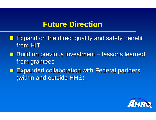### **Future Direction Future Direction**

- Expand on the direct quality and safety benefit from HIT
- $\Box$  . **Build on previous investment** – lessons learned from grantees
- **Expanded collaboration with Federal partners** (within and outside HHS) (within and outside HHS)

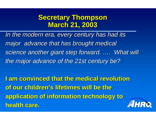### **Secretary Thompson Secretary Thompson March 21, 2003 March 21, 2003**

*In the modern era, every century has had its In the modern era, every century has had its major advance that has brought medical major advance that has brought medical science another giant step forward. …. What will the major advance of the 21st century be? the major advance of the 21st century be?*

**I am convinced that the medical revolution I am convinced that the medical revolution**  of our children's lifetimes will be the **application of information technology to application of information technology to health care. health care.**